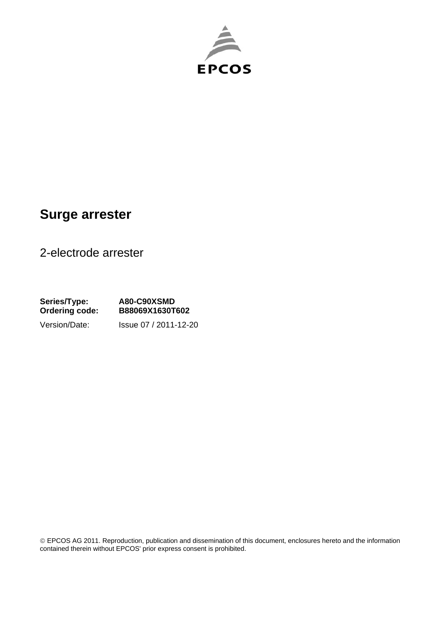

## **Surge arrester**

2-electrode arrester

**Series/Type: A80-C90XSMD Ordering code: B88069X1630T602**  Version/Date: Issue 07 / 2011-12-20

 EPCOS AG 2011. Reproduction, publication and dissemination of this document, enclosures hereto and the information contained therein without EPCOS' prior express consent is prohibited.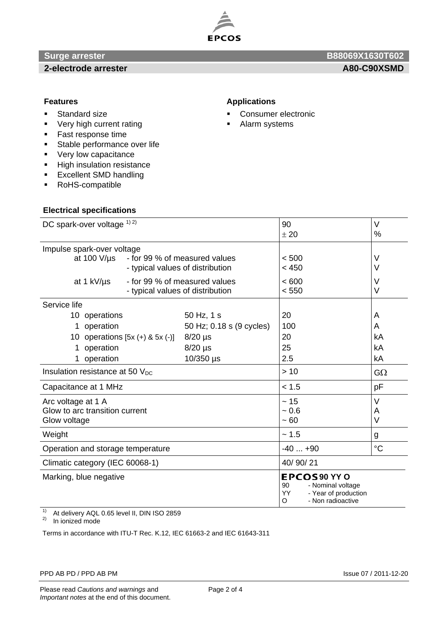

#### **2-electrode arrester A80-C90XSMD**

# **Surge arrester B88069X1630T602 B88069X1630T602**

- **Standard size**
- **•** Very high current rating
- **Fast response time**
- **Stable performance over life**
- **very low capacitance**
- **High insulation resistance**
- **Excellent SMD handling**
- RoHS-compatible

### **Electrical specifications**

#### **Features Applications**

- **Consumer electronic**
- **Alarm systems**

| DC spark-over voltage 1) 2)                                                           |                                  | 90                                                                                                      | V               |
|---------------------------------------------------------------------------------------|----------------------------------|---------------------------------------------------------------------------------------------------------|-----------------|
|                                                                                       |                                  | ± 20                                                                                                    | %               |
| Impulse spark-over voltage                                                            |                                  |                                                                                                         |                 |
| - for 99 % of measured values<br>at 100 $V/\mu s$<br>- typical values of distribution |                                  | < 500                                                                                                   | V               |
|                                                                                       |                                  | < 450                                                                                                   | V               |
| - for 99 % of measured values<br>at 1 kV/us                                           |                                  | < 600                                                                                                   | V               |
|                                                                                       | - typical values of distribution | < 550                                                                                                   | V               |
| Service life                                                                          |                                  |                                                                                                         |                 |
| 10 operations                                                                         | 50 Hz, 1 s                       | 20                                                                                                      | A               |
| operation<br>1.                                                                       | 50 Hz; 0.18 s (9 cycles)         | 100                                                                                                     | A               |
| 10 operations $[5x (+) & 5x (-)]$<br>$8/20$ µs                                        |                                  | 20                                                                                                      | kA              |
| 1 operation                                                                           | $8/20$ µs                        | 25                                                                                                      | kA              |
| 1 operation                                                                           | 10/350 µs                        | 2.5                                                                                                     | kA              |
| Insulation resistance at 50 $V_{DC}$                                                  |                                  | >10                                                                                                     | $G\Omega$       |
| Capacitance at 1 MHz                                                                  |                                  | < 1.5                                                                                                   | pF              |
| Arc voltage at 1 A                                                                    |                                  | $\sim$ 15                                                                                               | $\vee$          |
| Glow to arc transition current                                                        |                                  | ~10.6                                                                                                   | Α               |
| Glow voltage                                                                          |                                  | ~100                                                                                                    | V               |
| Weight                                                                                |                                  | ~1.5                                                                                                    | g               |
| Operation and storage temperature                                                     |                                  | $-40+90$                                                                                                | $\rm ^{\circ}C$ |
| Climatic category (IEC 60068-1)                                                       |                                  | 40/90/21                                                                                                |                 |
| Marking, blue negative<br>4 <sub>1</sub>                                              |                                  | EPCOS 90 YY O<br>90<br>- Nominal voltage<br>- Year of production<br><b>YY</b><br>- Non radioactive<br>O |                 |

 $1)$  At delivery AQL 0.65 level II, DIN ISO 2859

 $2)$  In ionized mode

Terms in accordance with ITU-T Rec. K.12, IEC 61663-2 and IEC 61643-311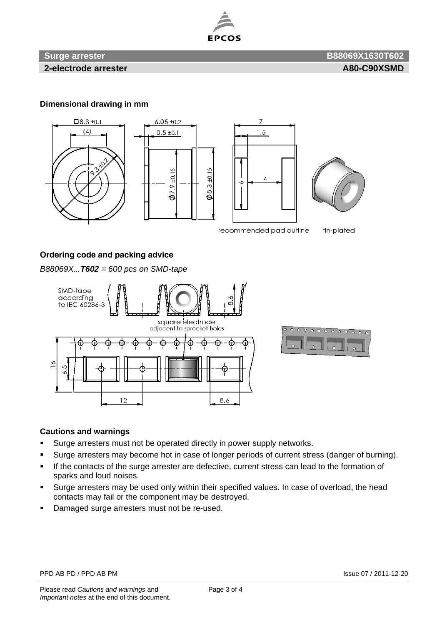

### **Surge arrester B88069X1630T602 B88069X1630T602**

**2-electrode arrester A80-C90XSMD** 

#### **Dimensional drawing in mm**



#### **Ordering code and packing advice**

*B88069X...T602 = 600 pcs on SMD-tape* 



#### **Cautions and warnings**

- Surge arresters must not be operated directly in power supply networks.
- Surge arresters may become hot in case of longer periods of current stress (danger of burning).
- If the contacts of the surge arrester are defective, current stress can lead to the formation of sparks and loud noises.
- Surge arresters may be used only within their specified values. In case of overload, the head contacts may fail or the component may be destroyed.
- Damaged surge arresters must not be re-used.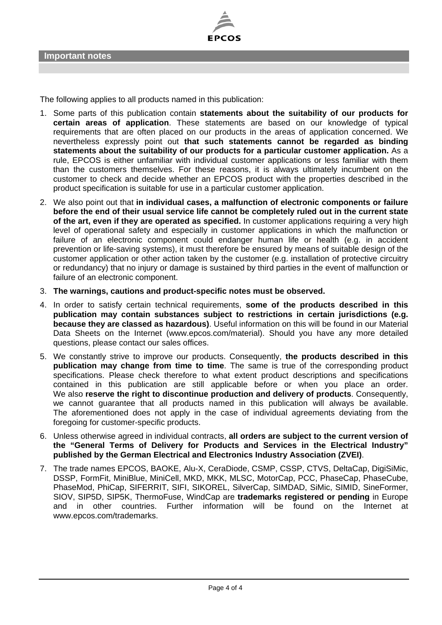

The following applies to all products named in this publication:

- 1. Some parts of this publication contain **statements about the suitability of our products for certain areas of application**. These statements are based on our knowledge of typical requirements that are often placed on our products in the areas of application concerned. We nevertheless expressly point out **that such statements cannot be regarded as binding statements about the suitability of our products for a particular customer application.** As a rule, EPCOS is either unfamiliar with individual customer applications or less familiar with them than the customers themselves. For these reasons, it is always ultimately incumbent on the customer to check and decide whether an EPCOS product with the properties described in the product specification is suitable for use in a particular customer application.
- 2. We also point out that **in individual cases, a malfunction of electronic components or failure before the end of their usual service life cannot be completely ruled out in the current state of the art, even if they are operated as specified.** In customer applications requiring a very high level of operational safety and especially in customer applications in which the malfunction or failure of an electronic component could endanger human life or health (e.g. in accident prevention or life-saving systems), it must therefore be ensured by means of suitable design of the customer application or other action taken by the customer (e.g. installation of protective circuitry or redundancy) that no injury or damage is sustained by third parties in the event of malfunction or failure of an electronic component.
- 3. **The warnings, cautions and product-specific notes must be observed.**
- 4. In order to satisfy certain technical requirements, **some of the products described in this publication may contain substances subject to restrictions in certain jurisdictions (e.g. because they are classed as hazardous)**. Useful information on this will be found in our Material Data Sheets on the Internet (www.epcos.com/material). Should you have any more detailed questions, please contact our sales offices.
- 5. We constantly strive to improve our products. Consequently, **the products described in this publication may change from time to time**. The same is true of the corresponding product specifications. Please check therefore to what extent product descriptions and specifications contained in this publication are still applicable before or when you place an order. We also **reserve the right to discontinue production and delivery of products**. Consequently, we cannot guarantee that all products named in this publication will always be available. The aforementioned does not apply in the case of individual agreements deviating from the foregoing for customer-specific products.
- 6. Unless otherwise agreed in individual contracts, **all orders are subject to the current version of the "General Terms of Delivery for Products and Services in the Electrical Industry" published by the German Electrical and Electronics Industry Association (ZVEI)**.
- 7. The trade names EPCOS, BAOKE, Alu-X, CeraDiode, CSMP, CSSP, CTVS, DeltaCap, DigiSiMic, DSSP, FormFit, MiniBlue, MiniCell, MKD, MKK, MLSC, MotorCap, PCC, PhaseCap, PhaseCube, PhaseMod, PhiCap, SIFERRIT, SIFI, SIKOREL, SilverCap, SIMDAD, SiMic, SIMID, SineFormer, SIOV, SIP5D, SIP5K, ThermoFuse, WindCap are **trademarks registered or pending** in Europe and in other countries. Further information will be found on the Internet at www.epcos.com/trademarks.